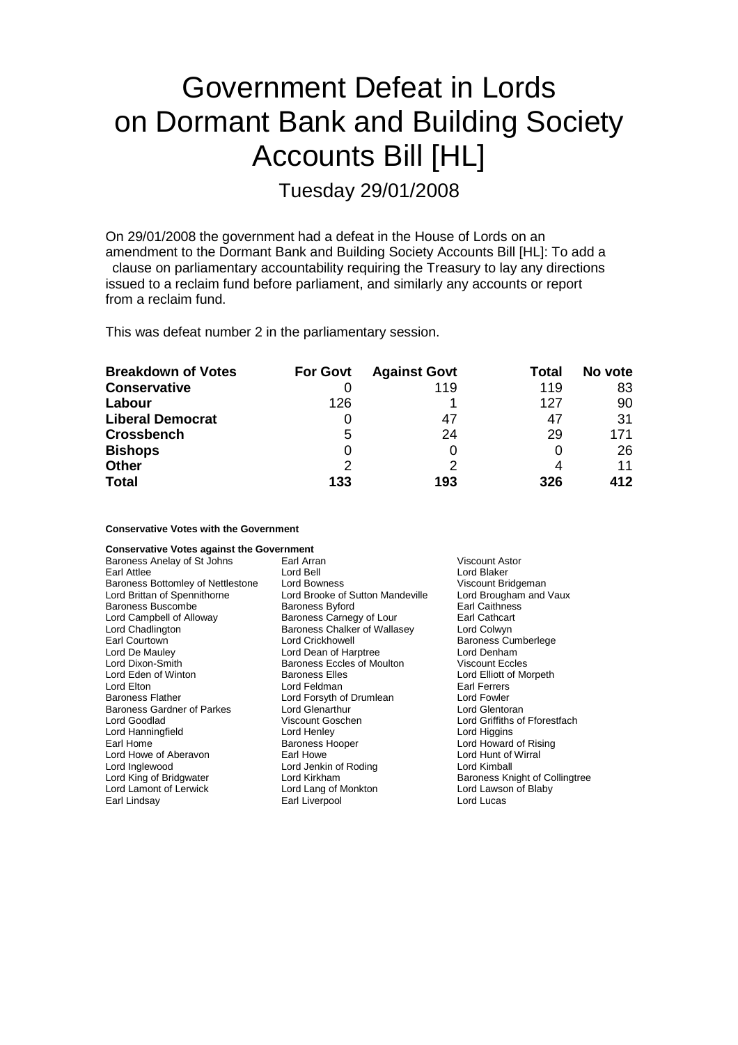# Government Defeat in Lords on Dormant Bank and Building Society Accounts Bill [HL]

Tuesday 29/01/2008

On 29/01/2008 the government had a defeat in the House of Lords on an amendment to the Dormant Bank and Building Society Accounts Bill [HL]: To add a clause on parliamentary accountability requiring the Treasury to lay any directions issued to a reclaim fund before parliament, and similarly any accounts or report from a reclaim fund.

This was defeat number 2 in the parliamentary session.

| <b>Breakdown of Votes</b> | <b>For Govt</b> | <b>Against Govt</b> | Total | No vote |
|---------------------------|-----------------|---------------------|-------|---------|
| <b>Conservative</b>       |                 | 119                 | 119   | 83      |
| Labour                    | 126             |                     | 127   | 90      |
| <b>Liberal Democrat</b>   |                 | 47                  | 47    | 31      |
| <b>Crossbench</b>         | 5               | 24                  | 29    | 171     |
| <b>Bishops</b>            | 0               | 0                   |       | 26      |
| <b>Other</b>              | 2               | っ                   |       | 11      |
| <b>Total</b>              | 133             | 193                 | 326   | 412     |

**Conservative Votes with the Government**

| <b>Conservative Votes against the Government</b> |                                  |                                |
|--------------------------------------------------|----------------------------------|--------------------------------|
| Baroness Anelay of St Johns                      | Earl Arran                       | <b>Viscount Astor</b>          |
| Earl Attlee                                      | Lord Bell                        | Lord Blaker                    |
| Baroness Bottomley of Nettlestone                | <b>Lord Bowness</b>              | Viscount Bridgeman             |
| Lord Brittan of Spennithorne                     | Lord Brooke of Sutton Mandeville | Lord Brougham and Vaux         |
| <b>Baroness Buscombe</b>                         | <b>Baroness Byford</b>           | <b>Earl Caithness</b>          |
| Lord Campbell of Alloway                         | Baroness Carnegy of Lour         | Earl Cathcart                  |
| Lord Chadlington                                 | Baroness Chalker of Wallasey     | Lord Colwyn                    |
| Earl Courtown                                    | Lord Crickhowell                 | <b>Baroness Cumberlege</b>     |
| Lord De Mauley                                   | Lord Dean of Harptree            | Lord Denham                    |
| Lord Dixon-Smith                                 | Baroness Eccles of Moulton       | <b>Viscount Eccles</b>         |
| Lord Eden of Winton                              | <b>Baroness Elles</b>            | Lord Elliott of Morpeth        |
| Lord Elton                                       | Lord Feldman                     | Earl Ferrers                   |
| <b>Baroness Flather</b>                          | Lord Forsyth of Drumlean         | Lord Fowler                    |
| <b>Baroness Gardner of Parkes</b>                | Lord Glenarthur                  | Lord Glentoran                 |
| Lord Goodlad                                     | Viscount Goschen                 | Lord Griffiths of Fforestfach  |
| Lord Hanningfield                                | Lord Henley                      | Lord Higgins                   |
| Earl Home                                        | <b>Baroness Hooper</b>           | Lord Howard of Rising          |
| Lord Howe of Aberavon                            | Earl Howe                        | Lord Hunt of Wirral            |
| Lord Inglewood                                   | Lord Jenkin of Roding            | Lord Kimball                   |
| Lord King of Bridgwater                          | Lord Kirkham                     | Baroness Knight of Collingtree |
| Lord Lamont of Lerwick                           | Lord Lang of Monkton             | Lord Lawson of Blaby           |
| Earl Lindsay                                     | Earl Liverpool                   | Lord Lucas                     |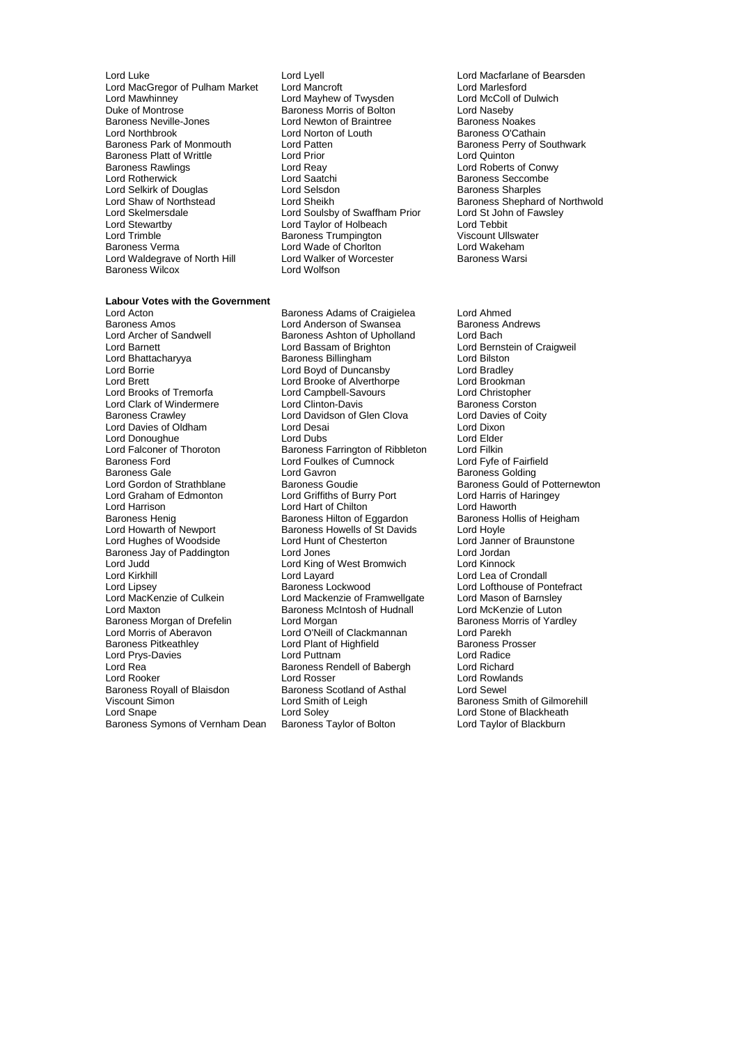- Lord MacGregor of Pulham Market Lord Mancroft Lord Marlesford Lord Mawhinney Lord Mayhew of Twysden<br>
Duke of Montrose **Lord Mayhew of Twysden** Duke of Montrose Baroness Morris of Bolton Lord Naseby Baroness Neville-Jones **Lord Newton of Braintree** Baroness Noakes<br>Lord Northbrook Lord Norton of Louth Baroness O'Cathain Lord Northbrook **Lord Norton of Louth Baroness Park of Monmouth** Lord Patten Baroness Platt of Writtle Lord Prior Lord Quinton Baroness Rawlings **Communist Confluence Lord Reay Lord Roberts of Conwy**<br>
Lord Rotherwick **Lord Saatchi** Communist Communist Controller Communist Communist Communist Communist Communist<br>
Lord Rotherwick Communist Communi Lord Selkirk of Douglas Lord Selsdon<br>Lord Shaw of Northstead Baroness Baroness Baroness Lord Shaw of Northstead Lord Sheikh Baroness Shephard of Northwold<br>
Lord Skelmersdale Lord Soulsby of Swaffham Prior Lord St John of Fawsley Lord Skelmersdale **Lord Souls** Lord Soulsby of Swaffham Prior and St John Lord St John Cord Tebbit<br>
Lord Stewartby **Cord Taylor of Holbeach** Lord Tebbit Lord Stewartby **Lord Taylor of Holbeach Lord Tebbit**<br>
Lord Taylor of Holbeach Lord Tebbit<br>
Lord Trimble Baroness Trumpington Viscount Ullswater Lord Trimble 10 10 million between Baroness Trumpington 10 million Viscount Ullswater<br>Baroness Verma 10 million between 10 million between 10 million between 10 million between 10 million between Lord Waldegrave of North Hill Lord Walker c<br>Baroness Wilcox Lord Wolfson Baroness Wilcox
- Lord Luke Lord Lyell Lord Macfarlane of Bearsden Lord Patten Baroness Perry of Southwark<br>
Lord Prior Lord Quinton<br>
Lord Quinton Lord Rotherwick Lord Saatchi Baroness Seccombe Lord Wade of Chorlton **Lord Wakeham**<br>
Lord Walker of Worcester **Charles Baroness Warsi**

#### **Labour Votes with the Government**

Baroness Amos **Marting Community Control Anderson of Swansea** Baroness Ashton of Upholland Lord Bach Lord Barnett Lord Bassam of Brighton Lord Bernstein of Craigweil Lord Bhattacharyya Baroness Billingham Lord Bilston Lord Borrie Lord Boyd of Duncansby Lord Bradley Lord Brooke of Alverthorpe<br>
Lord Brooks of Tremorfa<br>
Lord Campbell-Sayours Lord Clark of Windermere **Lord Clinton-Davis** Baroness Corston<br>
Baroness Crawley **Lord Davidson of Glen Clova** Lord Davies of Coity Lord Davies of Oldham Lord Desai Lord Dixon Lord Donoughue **Lord Dubs** Lord Dubs Lord Elder<br>
Lord Falconer of Thoroton **Baroness Farrington of Ribbleton** Lord Filkin Lord Falconer of Thoroton **Baroness Farrington of Ribbleton** Lord Filkin<br>Baroness Ford **Baroness Ford Common Lord Foulkes of Cumnock** Lord Fyfe of Fairfield Baroness Gale **Calicate Control Control Cart Cavity** Control Cart Baroness Golding<br>
Lord Gordon of Strathblane **Baroness Gouding** Baroness Gould of Lord Graham of Edmonton Lord Griffiths of Burry Port Lord Harris of Lord Harris of Lord Haventh Lord Haventh Lord Haventh Lord Haventh Lord Haventh Lord Haventh Lord Haventh Lord Haventh Lord Haventh Lord Haventh Lord Have Lord Harrison Lord Hart of Chilton Lord Haworth Lord Harrison Lord Haworth Baroness Henig<br>
Baroness Henig Baroness Hilton of Eggardon Baroness Hollis of Heigham Baroness Henig Baroness Hilton of Eggardon Baroness Henight Baroness Hollis Cord Hoyle<br>
Baroness Howells of St Davids Lord Hoyle Lord Hughes of Woodside Baroness Jay of Paddington Lord Jones Lord Jordan Lord Judd **Lord King of West Bromwich**<br>
Lord Kirkhill **Lord Lavard** Lord Kirkhill Lord Layard Lord Lea of Crondall Lord Lipsey **Baroness Lockwood** Lord Lofthouse of Pontefract<br>
Lord Mackenzie of Culkein Lord Mackenzie of Framwellgate Lord Mason of Barnsley Lord Maxton Baroness McIntosh of Hudnall Lord McKenzie of Luton Baroness Morgan of Drefelin Lord Morgan Lord Charless Morgan Baroness Morgan Baroness Morgan Baroness Morgan Baroness Morgan Baroness Morgan Baroness Morgan Baroness Morgan Baroness Morgan Baroness Morgan Baroness Morgan B Lord Morris of Aberavon Lord O'Neill of Clackmannan Lord Parekh<br>
Baroness Pitkeathley Cord Plant of Highfield Baroness Prosser Lord Prys-Davies **Lord Lord Puttnam** Lord Puttnam Lord Radice<br>
Lord Rea Lord Rea Ration Baroness Rendell of Babergh Lord Richard Lord Rea Baroness Rendell of Babergh Lord Rea<br>
Baroness Rendell of Babergh<br>
Lord Rosser Lord Rooker Lord Rosser Lord Rosser<br>Baroness Royall of Blaisdon Baroness Scotland of Asthal Lord Sewel Baroness Royall of Blaisdon Baroness Scotland of Asthal Unicomponent Scotland of Asthal Lord Smith of Leigh Baroness Symons of Vernham Dean

Lord Acton **Communist Communist Baroness Adams of Craigielea** Lord Ahmed<br>Baroness Amos **Communist Communist Communist Communist Communist Communist Communist Communist Communist Communis** Baroness Ashton of Upholland Lord Campbell-Savours **Lord Christopher**<br>
Lord Clinton-Davis **Constant Constant Constant Constant** Baroness Corston Lord Davidson of Glen Clova Lord Foulkes of Cumnock Baroness Goudie<br>
Lord Griffiths of Burry Port<br>
Lord Harris of Haringey Baroness Howells of St Davids Lord Hoyle<br>Lord Hunt of Chesterton Lord Janner of Braunstone Lord Mackenzie of Framwellgate Lord Mason of Barnsley<br>Baroness McIntosh of Hudnall Lord McKenzie of Luton Lord Plant of Highfield Baroness Prosserved Baroness Providence Baroness Providence Baroness Providence Baroness Prosserved Baroness Prosserved Baroness Prosserved Baroness Providence Baroness Providence Baroness Providenc Lord Snape Cord Soley Lord Soley<br>
Baroness Symons of Vernham Dean Baroness Taylor of Bolton Lord Taylor of Blackburn

Baroness Smith of Gilmorehill